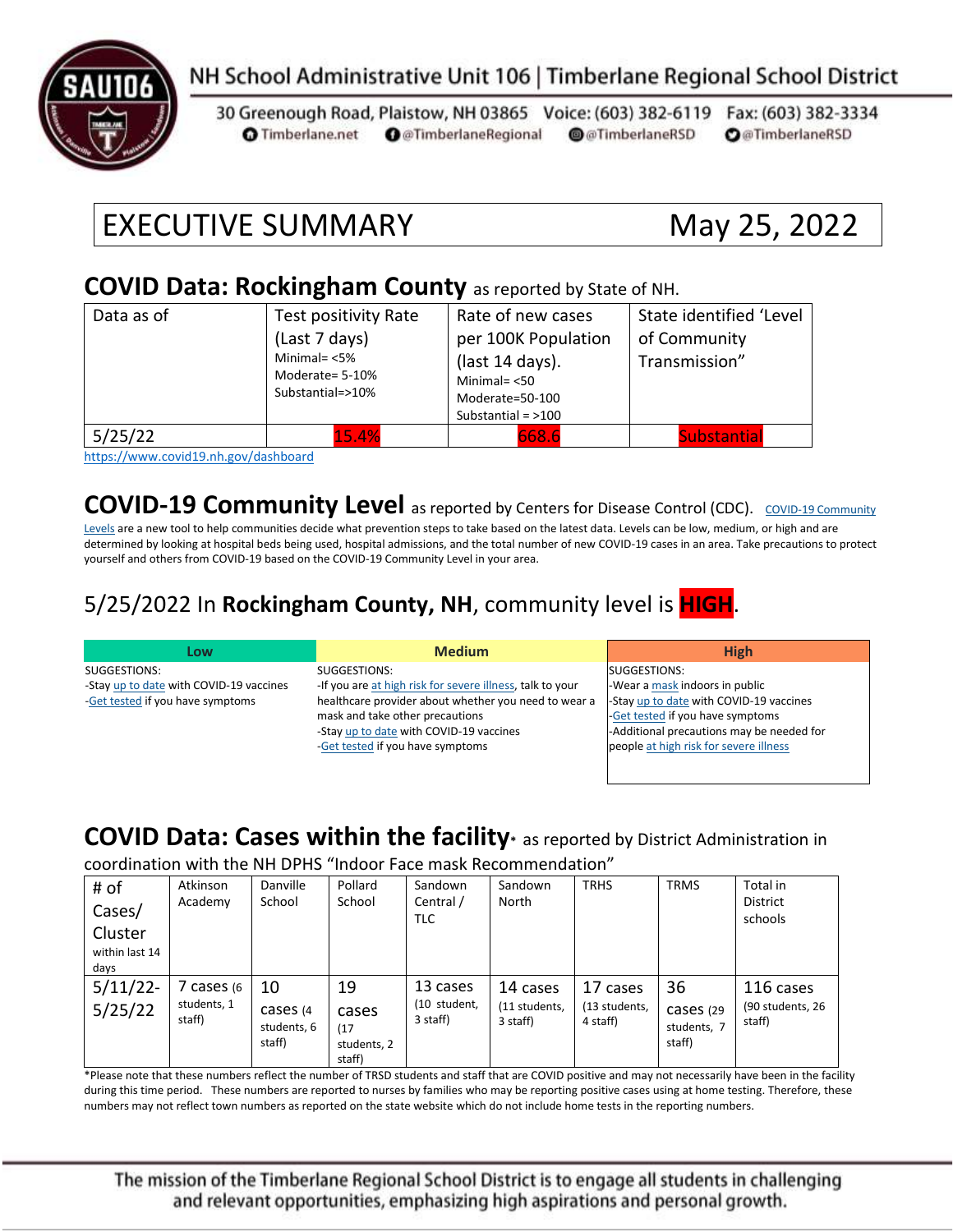

#### NH School Administrative Unit 106 | Timberlane Regional School District

30 Greenough Road, Plaistow, NH 03865 Voice: (603) 382-6119 Fax: (603) 382-3334 **O** Timberlane.net **O** @TimberlaneRegional @@TimberlaneRSD **O**@TimberlaneRSD

# EXECUTIVE SUMMARY May 25, 2022

#### **COVID Data: Rockingham County** as reported by State of NH.

| Data as of | Test positivity Rate<br>(Last 7 days)<br>Minimal= $<$ 5%<br>Moderate= 5-10%<br>Substantial=>10% | Rate of new cases<br>per 100K Population<br>(last 14 days).<br>Minimal $=$ <50<br>Moderate=50-100<br>Substantial = $>100$ | State identified 'Level<br>of Community<br>Transmission" |
|------------|-------------------------------------------------------------------------------------------------|---------------------------------------------------------------------------------------------------------------------------|----------------------------------------------------------|
| 5/25/22    | 15.4%                                                                                           | 668.6                                                                                                                     | <b>Substantial</b>                                       |

<https://www.covid19.nh.gov/dashboard>

**[COVID-19 Community](https://www.cdc.gov/coronavirus/2019-ncov/science/community-levels.html) Level** as reported by Centers for Disease Control (CDC). COVID-19 Community

[Levels](https://www.cdc.gov/coronavirus/2019-ncov/science/community-levels.html) are a new tool to help communities decide what prevention steps to take based on the latest data. Levels can be low, medium, or high and are determined by looking at hospital beds being used, hospital admissions, and the total number of new COVID-19 cases in an area. Take precautions to protect yourself and others from COVID-19 based on the COVID-19 Community Level in your area.

#### 5/25/2022 In **Rockingham County, NH**, community level is **HIGH**.

| Low                                     | <b>Medium</b>                                             | <b>High</b>                               |
|-----------------------------------------|-----------------------------------------------------------|-------------------------------------------|
| SUGGESTIONS:                            | SUGGESTIONS:                                              | SUGGESTIONS:                              |
| -Stay up to date with COVID-19 vaccines | -If you are at high risk for severe illness, talk to your | -Wear a mask indoors in public            |
| -Get tested if you have symptoms        | healthcare provider about whether you need to wear a      | -Stay up to date with COVID-19 vaccines   |
|                                         | mask and take other precautions                           | -Get tested if you have symptoms          |
|                                         | -Stay up to date with COVID-19 vaccines                   | -Additional precautions may be needed for |
|                                         | -Get tested if you have symptoms                          | people at high risk for severe illness    |
|                                         |                                                           |                                           |

#### **COVID Data: Cases within the facility\*** as reported by District Administration in

coordination with the NH DPHS "Indoor Face mask Recommendation"

| # of<br>Cases/<br>Cluster<br>within last 14<br>days | Atkinson<br>Academy               | Danville<br>School                       | Pollard<br>School                            | Sandown<br>Central /<br><b>TLC</b>   | Sandown<br>North                      | <b>TRHS</b>                           | <b>TRMS</b>                              | Total in<br><b>District</b><br>schools  |
|-----------------------------------------------------|-----------------------------------|------------------------------------------|----------------------------------------------|--------------------------------------|---------------------------------------|---------------------------------------|------------------------------------------|-----------------------------------------|
| 5/11/22<br>5/25/22                                  | cases (6<br>students, 1<br>staff) | 10<br>cases (4)<br>students, 6<br>staff) | 19<br>cases<br>(17)<br>students, 2<br>staff) | 13 cases<br>(10 student,<br>3 staff) | 14 cases<br>(11 students,<br>3 staff) | 17 cases<br>(13 students,<br>4 staff) | 36<br>Cases (29<br>students, 7<br>staff) | 116 cases<br>(90 students, 26<br>staff) |

\*Please note that these numbers reflect the number of TRSD students and staff that are COVID positive and may not necessarily have been in the facility during this time period. These numbers are reported to nurses by families who may be reporting positive cases using at home testing. Therefore, these numbers may not reflect town numbers as reported on the state website which do not include home tests in the reporting numbers.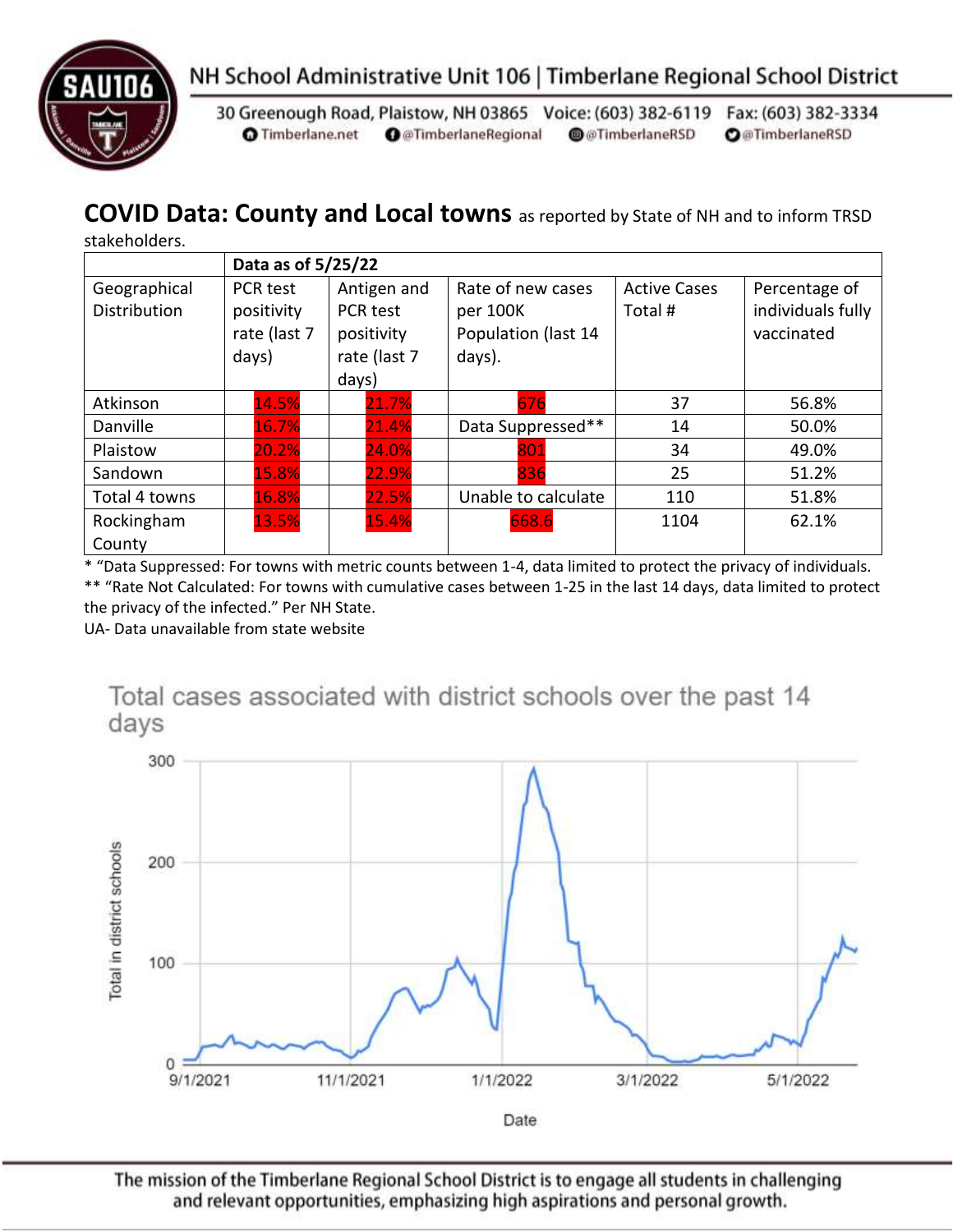



30 Greenough Road, Plaistow, NH 03865 Voice: (603) 382-6119 Fax: (603) 382-3334 **O** Timberlane.net **O** @TimberlaneRegional @@TimberlaneRSD **O**@TimberlaneRSD

### **COVID Data: County and Local towns** as reported by State of NH and to inform TRSD

stakeholders.

|                                     | Data as of 5/25/22                                     |                                                                |                                                                |                               |                                                  |  |
|-------------------------------------|--------------------------------------------------------|----------------------------------------------------------------|----------------------------------------------------------------|-------------------------------|--------------------------------------------------|--|
| Geographical<br><b>Distribution</b> | <b>PCR test</b><br>positivity<br>rate (last 7<br>days) | Antigen and<br>PCR test<br>positivity<br>rate (last 7<br>days) | Rate of new cases<br>per 100K<br>Population (last 14<br>days). | <b>Active Cases</b><br>Total# | Percentage of<br>individuals fully<br>vaccinated |  |
| Atkinson                            | 14.5%                                                  | 21.7%                                                          | 676                                                            | 37                            | 56.8%                                            |  |
| Danville                            | 16.7%                                                  | 21.4%                                                          | Data Suppressed**                                              | 14                            | 50.0%                                            |  |
| Plaistow                            | 20.2%                                                  | 24.0%                                                          | 801                                                            | 34                            | 49.0%                                            |  |
| Sandown                             | 15.8%                                                  | 22.9%                                                          | 836                                                            | 25                            | 51.2%                                            |  |
| Total 4 towns                       | 16.8%                                                  | 22.5%                                                          | Unable to calculate                                            | 110                           | 51.8%                                            |  |
| Rockingham<br>County                | 13.5%                                                  | 15.4%                                                          | 668.6                                                          | 1104                          | 62.1%                                            |  |

\* "Data Suppressed: For towns with metric counts between 1-4, data limited to protect the privacy of individuals. \*\* "Rate Not Calculated: For towns with cumulative cases between 1-25 in the last 14 days, data limited to protect

the privacy of the infected." Per NH State.

UA- Data unavailable from state website

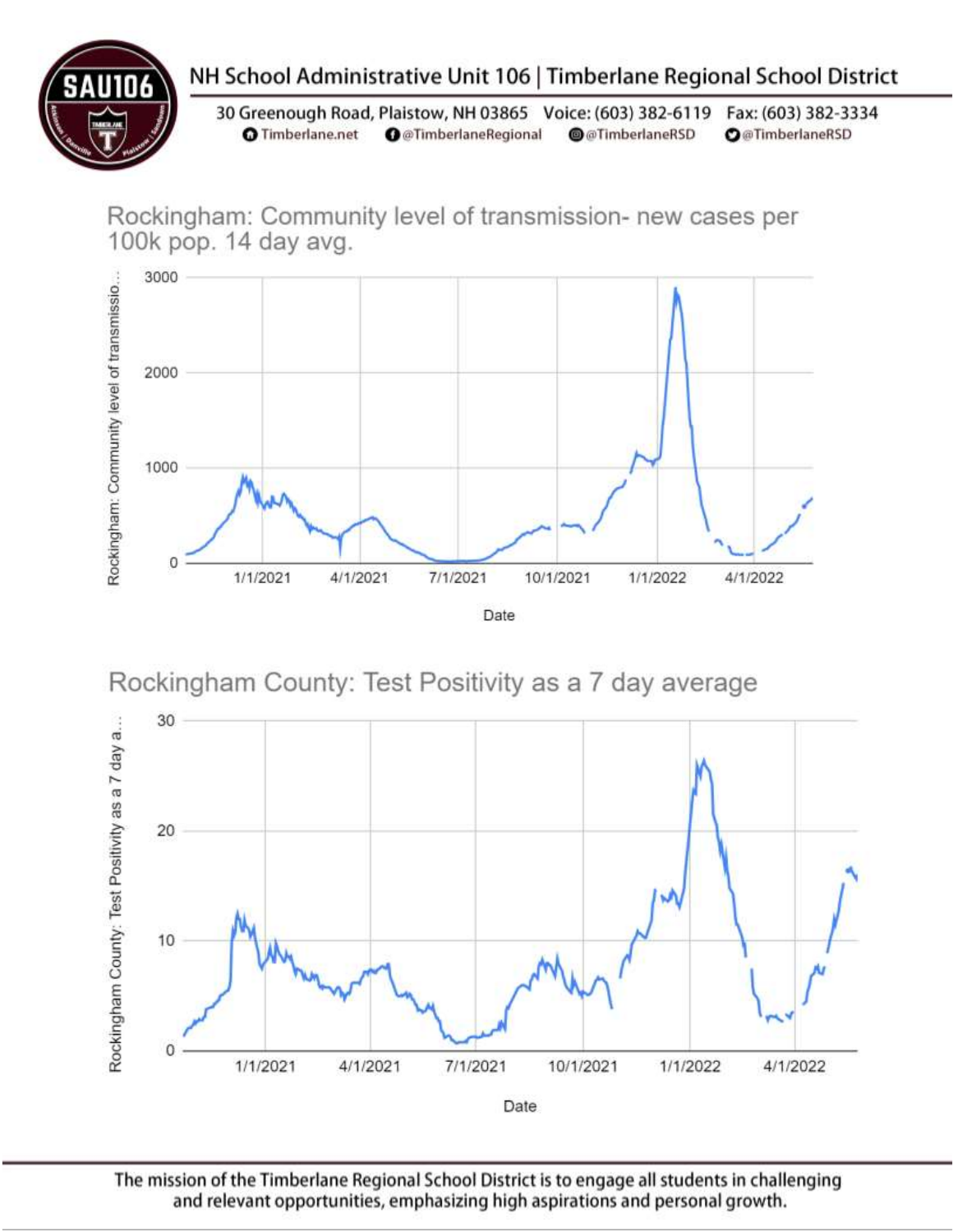

## NH School Administrative Unit 106 | Timberlane Regional School District

30 Greenough Road, Plaistow, NH 03865 Voice: (603) 382-6119 Fax: (603) 382-3334 **O** Timberlane.net **O** @TimberlaneRegional @@TimberlaneRSD **O**@TimberlaneRSD

Rockingham: Community level of transmission- new cases per 100k pop. 14 day avg.



## Rockingham County: Test Positivity as a 7 day average